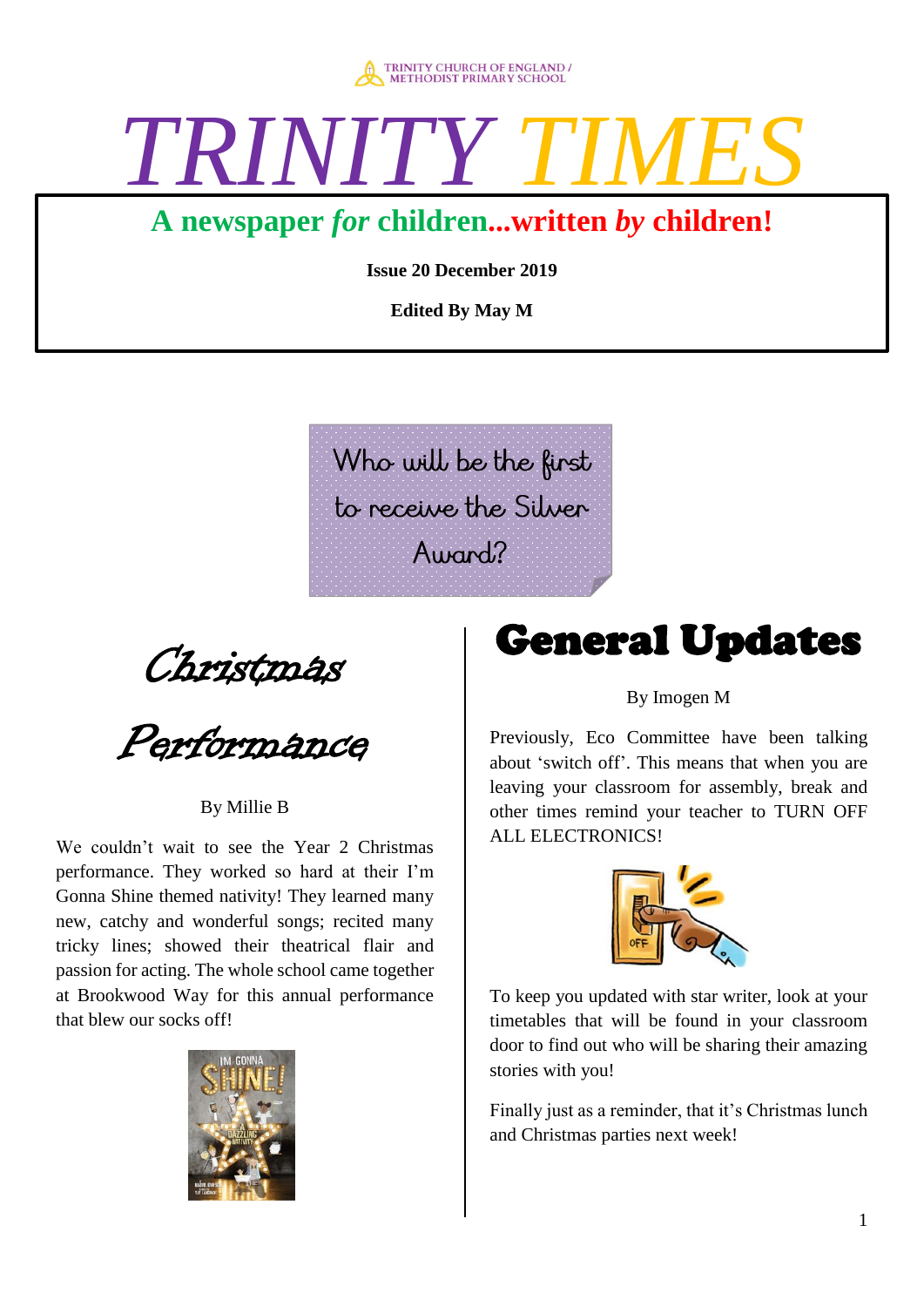

# TRINITY

## **A newspaper** *for* **children...written** *by* **children!**

**Issue 20 December 2019** 

**Edited By May M**

Who will be the first to receive the Silver  $A$ umnd $<sup>2</sup>$ </sup>

Christmas

Performance

### By Millie B

We couldn't wait to see the Year 2 Christmas performance. They worked so hard at their I'm Gonna Shine themed nativity! They learned many new, catchy and wonderful songs; recited many tricky lines; showed their theatrical flair and passion for acting. The whole school came together at Brookwood Way for this annual performance that blew our socks off!



## General Updates

### By Imogen M

Previously, Eco Committee have been talking about 'switch off'. This means that when you are leaving your classroom for assembly, break and other times remind your teacher to TURN OFF ALL ELECTRONICS!



To keep you updated with star writer, look at your timetables that will be found in your classroom door to find out who will be sharing their amazing stories with you!

Finally just as a reminder, that it's Christmas lunch and Christmas parties next week!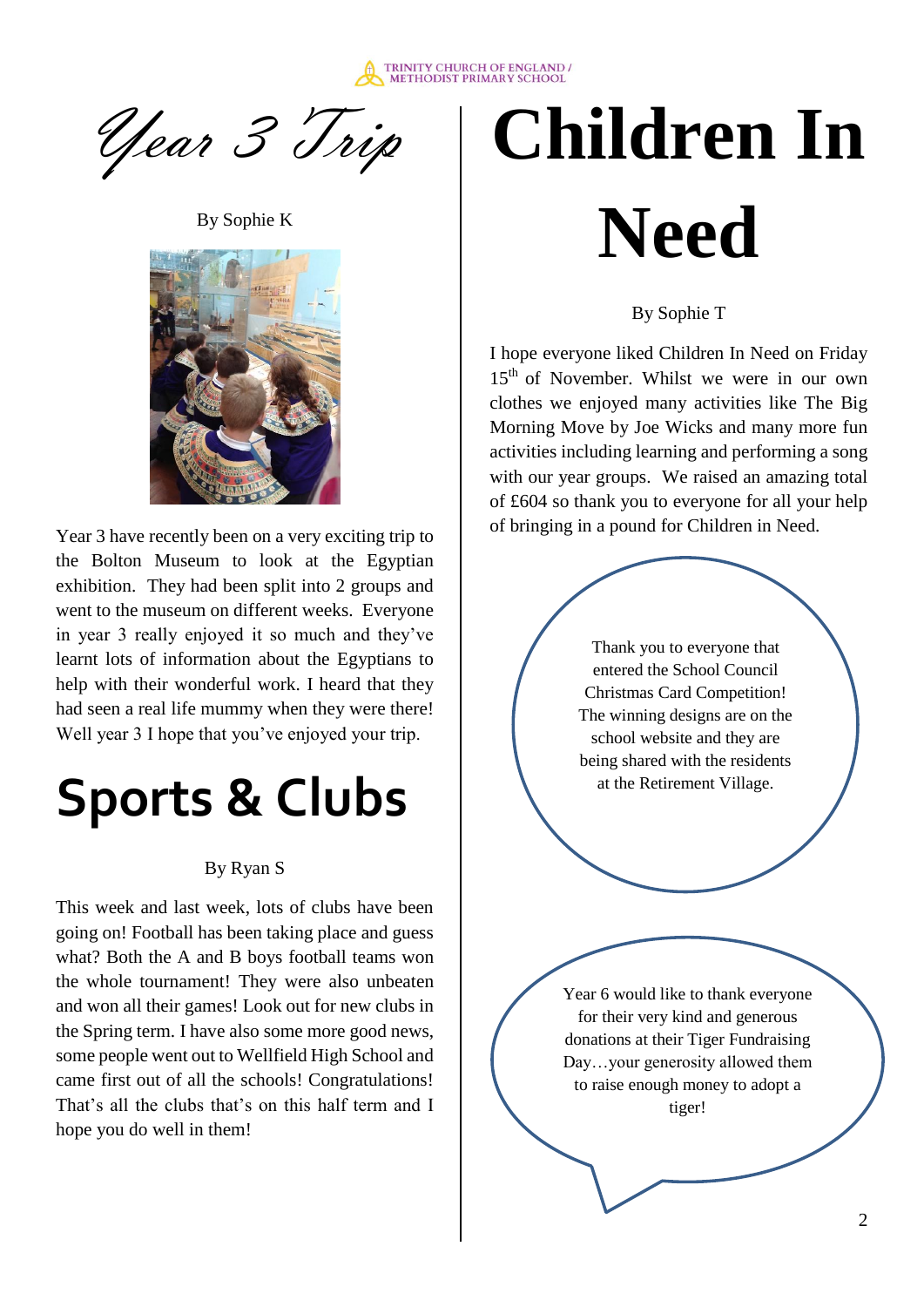

Year 3 Trip

By Sophie K



Year 3 have recently been on a very exciting trip to the Bolton Museum to look at the Egyptian exhibition. They had been split into 2 groups and went to the museum on different weeks. Everyone in year 3 really enjoyed it so much and they've learnt lots of information about the Egyptians to help with their wonderful work. I heard that they had seen a real life mummy when they were there! Well year 3 I hope that you've enjoyed your trip.

## **Sports & Clubs**

### By Ryan S

This week and last week, lots of clubs have been going on! Football has been taking place and guess what? Both the A and B boys football teams won the whole tournament! They were also unbeaten and won all their games! Look out for new clubs in the Spring term. I have also some more good news, some people went out to Wellfield High School and came first out of all the schools! Congratulations! That's all the clubs that's on this half term and I hope you do well in them!

## **Children In Need**

By Sophie T

I hope everyone liked Children In Need on Friday 15<sup>th</sup> of November. Whilst we were in our own clothes we enjoyed many activities like The Big Morning Move by Joe Wicks and many more fun activities including learning and performing a song with our year groups. We raised an amazing total of £604 so thank you to everyone for all your help of bringing in a pound for Children in Need.

> Thank you to everyone that entered the School Council Christmas Card Competition! The winning designs are on the school website and they are being shared with the residents at the Retirement Village.

Year 6 would like to thank everyone for their very kind and generous donations at their Tiger Fundraising Day…your generosity allowed them to raise enough money to adopt a tiger!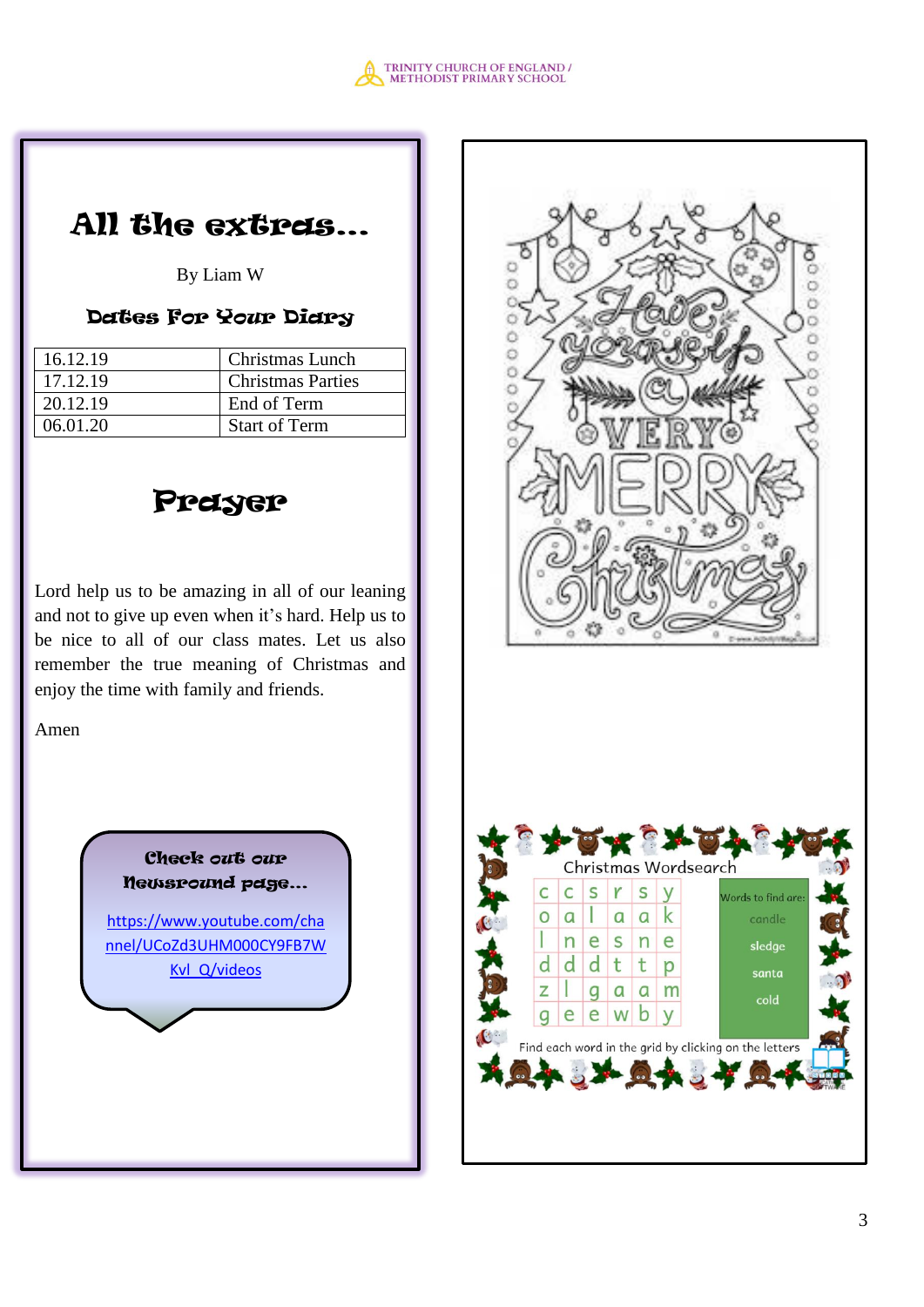

## All the extras…

By Liam W

### Dates For Your Diary

| 16.12.19 | Christmas Lunch          |
|----------|--------------------------|
| 17.12.19 | <b>Christmas Parties</b> |
| 20.12.19 | End of Term              |
| 06.01.20 | <b>Start of Term</b>     |



Lord help us to be amazing in all of our leaning and not to give up even when it's hard. Help us to be nice to all of our class mates. Let us also remember the true meaning of Christmas and enjoy the time with family and friends.

Amen